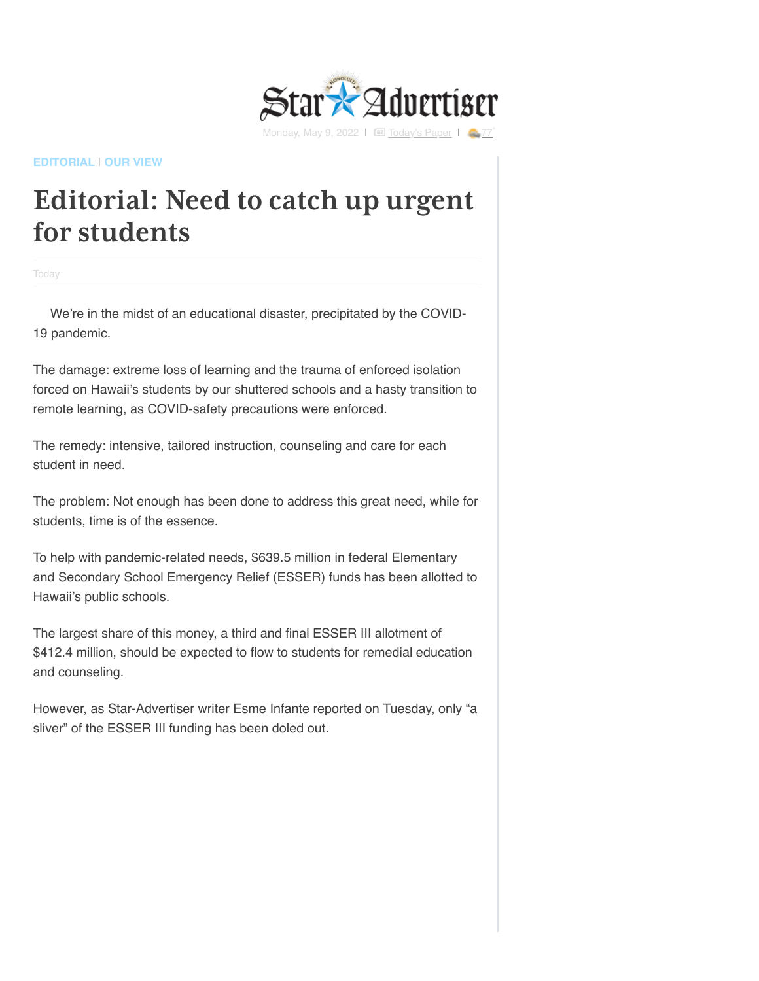

## **[EDITORIAL](https://www.staradvertiser.com/category/editorial/)** | **[OUR VIEW](https://www.staradvertiser.com/category/editorial/our-view/)**

## **Editorial: Need to catch up urgent for students**

**Today** 

We're in the midst of an educational disaster, precipitated by the COVID-19 pandemic.

The damage: extreme loss of learning and the trauma of enforced isolation forced on Hawaii's students by our shuttered schools and a hasty transition to remote learning, as COVID-safety precautions were enforced.

The remedy: intensive, tailored instruction, counseling and care for each student in need.

The problem: Not enough has been done to address this great need, while for students, time is of the essence.

To help with pandemic-related needs, \$639.5 million in federal Elementary and Secondary School Emergency Relief (ESSER) funds has been allotted to Hawaii's public schools.

The largest share of this money, a third and final ESSER III allotment of \$412.4 million, should be expected to flow to students for remedial education and counseling.

However, as Star-Advertiser writer Esme Infante reported on Tuesday, only "a sliver" of the ESSER III funding has been doled out.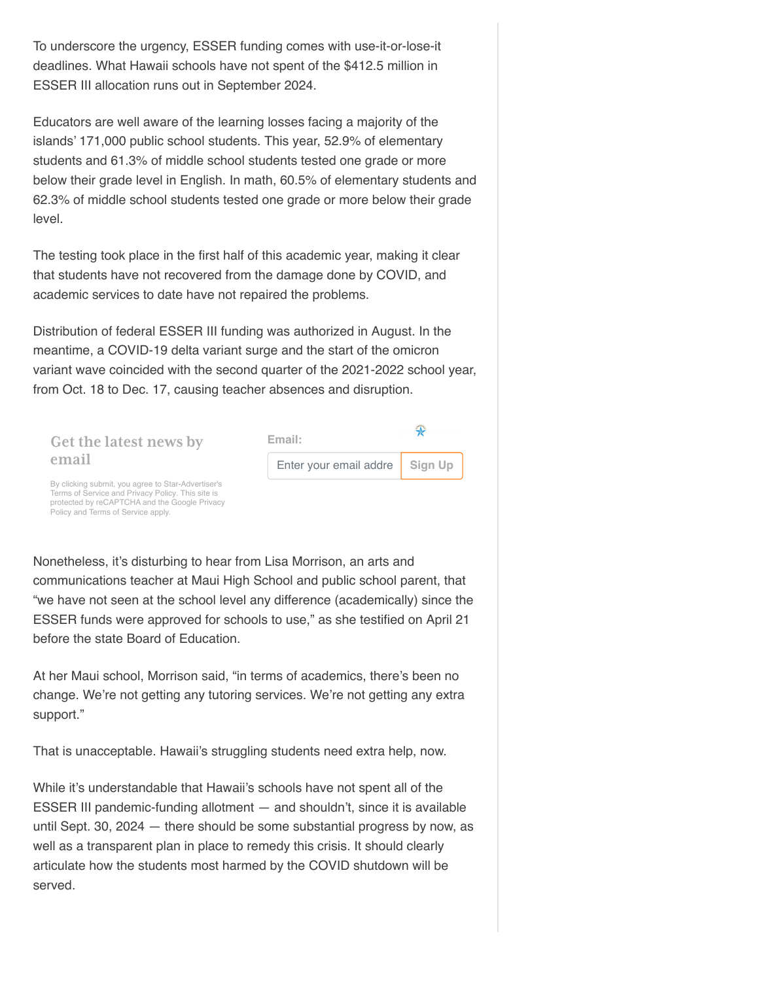To underscore the urgency, ESSER funding comes with use-it-or-lose-it deadlines. What Hawaii schools have not spent of the \$412.5 million in ESSER III allocation runs out in September 2024.

Educators are well aware of the learning losses facing a majority of the islands' 171,000 public school students. This year, 52.9% of elementary students and 61.3% of middle school students tested one grade or more below their grade level in English. In math, 60.5% of elementary students and 62.3% of middle school students tested one grade or more below their grade level.

The testing took place in the first half of this academic year, making it clear that students have not recovered from the damage done by COVID, and academic services to date have not repaired the problems.

Distribution of federal ESSER III funding was authorized in August. In the meantime, a COVID-19 delta variant surge and the start of the omicron variant wave coincided with the second quarter of the 2021-2022 school year, from Oct. 18 to Dec. 17, causing teacher absences and disruption.



Nonetheless, it's disturbing to hear from Lisa Morrison, an arts and communications teacher at Maui High School and public school parent, that "we have not seen at the school level any difference (academically) since the

ESSER funds were approved for schools to use," as she testified on April 21 before the state Board of Education.

At her Maui school, Morrison said, "in terms of academics, there's been no change. We're not getting any tutoring services. We're not getting any extra support."

That is unacceptable. Hawaii's struggling students need extra help, now.

While it's understandable that Hawaii's schools have not spent all of the ESSER III pandemic-funding allotment — and shouldn't, since it is available until Sept. 30, 2024 — there should be some substantial progress by now, as well as a transparent plan in place to remedy this crisis. It should clearly articulate how the students most harmed by the COVID shutdown will be served.